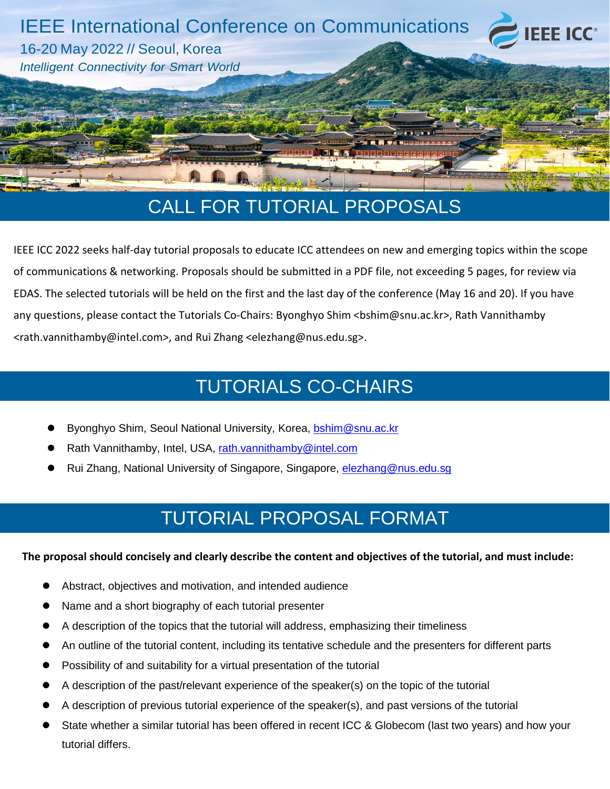

IEEE ICC 2022 seeks half-day tutorial proposals to educate ICC attendees on new and emerging topics within the scope of communications & networking. Proposals should be submitted in a PDF file, not exceeding 5 pages, for review via EDAS. The selected tutorials will be held on the first and the last day of the conference (May 16 and 20). If you have any questions, please contact the Tutorials Co-Chairs: Byonghyo Shim <br/>bshim@snu.ac.kr>, Rath Vannithamby <rath.vannithamby@intel.com>, and Rui Zhang <elezhang@nus.edu.sg>.

# TUTORIALS CO-CHAIRS

- Byonghyo Shim, Seoul National University, Korea, [bshim@snu.ac.kr](mailto:bshim@snu.ac.kr)
- Rath Vannithamby, Intel, USA, [rath.vannithamby@intel.com](mailto:rath.vannithamby@intel.com)
- Rui Zhang, National University of Singapore, Singapore, [elezhang@nus.edu.sg](mailto:elezhang@nus.edu.sg)

# TUTORIAL PROPOSAL FORMAT

#### **The proposal should concisely and clearly describe the content and objectives of the tutorial, and must include:**

- Abstract, objectives and motivation, and intended audience
- Name and a short biography of each tutorial presenter
- A description of the topics that the tutorial will address, emphasizing their timeliness
- An outline of the tutorial content, including its tentative schedule and the presenters for different parts
- Possibility of and suitability for a virtual presentation of the tutorial
- A description of the past/relevant experience of the speaker(s) on the topic of the tutorial
- A description of previous tutorial experience of the speaker(s), and past versions of the tutorial
- State whether a similar tutorial has been offered in recent ICC & Globecom (last two years) and how your tutorial differs.